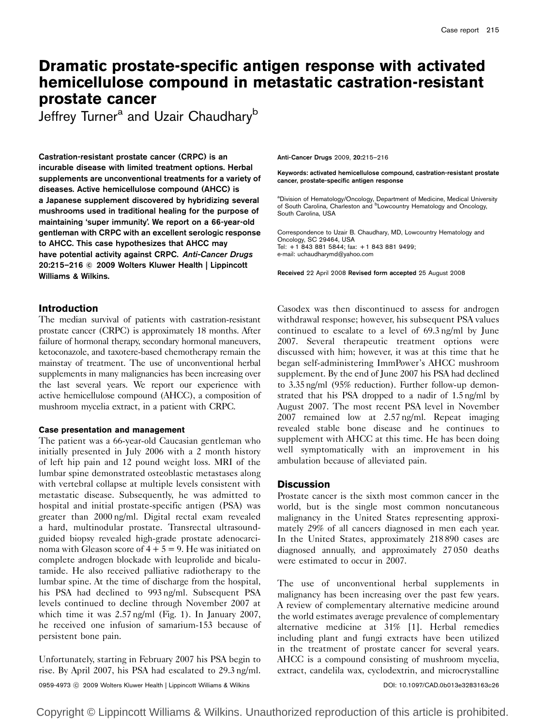# Dramatic prostate-specific antigen response with activated hemicellulose compound in metastatic castration-resistant prostate cancer

Jeffrey Turner<sup>a</sup> and Uzair Chaudhary<sup>b</sup>

Castration-resistant prostate cancer (CRPC) is an incurable disease with limited treatment options. Herbal supplements are unconventional treatments for a variety of diseases. Active hemicellulose compound (AHCC) is a Japanese supplement discovered by hybridizing several mushrooms used in traditional healing for the purpose of maintaining 'super immunity'. We report on a 66-year-old gentleman with CRPC with an excellent serologic response to AHCC. This case hypothesizes that AHCC may have potential activity against CRPC. Anti-Cancer Drugs 20:215–216 © 2009 Wolters Kluwer Health | Lippincott Williams & Wilkins.

## Introduction

The median survival of patients with castration-resistant prostate cancer (CRPC) is approximately 18 months. After failure of hormonal therapy, secondary hormonal maneuvers, ketoconazole, and taxotere-based chemotherapy remain the mainstay of treatment. The use of unconventional herbal supplements in many malignancies has been increasing over the last several years. We report our experience with active hemicellulose compound (AHCC), a composition of mushroom mycelia extract, in a patient with CRPC.

### Case presentation and management

The patient was a 66-year-old Caucasian gentleman who initially presented in July 2006 with a 2 month history of left hip pain and 12 pound weight loss. MRI of the lumbar spine demonstrated osteoblastic metastases along with vertebral collapse at multiple levels consistent with metastatic disease. Subsequently, he was admitted to hospital and initial prostate-specific antigen (PSA) was greater than 2000 ng/ml. Digital rectal exam revealed a hard, multinodular prostate. Transrectal ultrasoundguided biopsy revealed high-grade prostate adenocarcinoma with Gleason score of  $4 + 5 = 9$ . He was initiated on complete androgen blockade with leuprolide and bicalutamide. He also received palliative radiotherapy to the lumbar spine. At the time of discharge from the hospital, his PSA had declined to 993 ng/ml. Subsequent PSA levels continued to decline through November 2007 at which time it was 2.57 ng/ml (Fig. 1). In January 2007, he received one infusion of samarium-153 because of persistent bone pain.

Unfortunately, starting in February 2007 his PSA begin to rise. By April 2007, his PSA had escalated to 29.3 ng/ml. Anti-Cancer Drugs 2009, 20:215–216

Keywords: activated hemicellulose compound, castration-resistant prostate cancer, prostate-specific antigen response

<sup>a</sup>Division of Hematology/Oncology, Department of Medicine, Medical University<br>of South Carolina, Charleston and <sup>b</sup>Lowcountry Hematology and Oncology, South Carolina, USA

Correspondence to Uzair B. Chaudhary, MD, Lowcountry Hematology and Oncology, SC 29464, USA Tel: + 1 843 881 5844; fax: + 1 843 881 9499; e-mail: uchaudharymd@yahoo.com

Received 22 April 2008 Revised form accepted 25 August 2008

Casodex was then discontinued to assess for androgen withdrawal response; however, his subsequent PSA values continued to escalate to a level of 69.3 ng/ml by June 2007. Several therapeutic treatment options were discussed with him; however, it was at this time that he began self-administering ImmPower's AHCC mushroom supplement. By the end of June 2007 his PSA had declined to 3.35 ng/ml (95% reduction). Further follow-up demonstrated that his PSA dropped to a nadir of 1.5 ng/ml by August 2007. The most recent PSA level in November 2007 remained low at 2.57 ng/ml. Repeat imaging revealed stable bone disease and he continues to supplement with AHCC at this time. He has been doing well symptomatically with an improvement in his ambulation because of alleviated pain.

## **Discussion**

Prostate cancer is the sixth most common cancer in the world, but is the single most common noncutaneous malignancy in the United States representing approximately 29% of all cancers diagnosed in men each year. In the United States, approximately 218 890 cases are diagnosed annually, and approximately 27 050 deaths were estimated to occur in 2007.

The use of unconventional herbal supplements in malignancy has been increasing over the past few years. A review of complementary alternative medicine around the world estimates average prevalence of complementary alternative medicine at 31% [1]. Herbal remedies including plant and fungi extracts have been utilized in the treatment of prostate cancer for several years. AHCC is a compound consisting of mushroom mycelia, extract, candelila wax, cyclodextrin, and microcrystalline

0959-4973 -c 2009 Wolters Kluwer Health | Lippincott Williams & Wilkins DOI: 10.1097/CAD.0b013e3283163c26

Copyright © Lippincott Williams & Wilkins. Unauthorized reproduction of this article is prohibited.